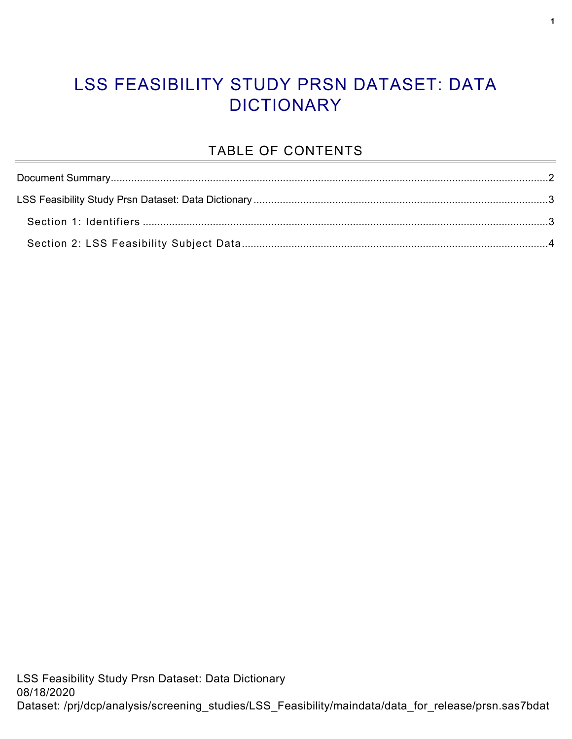#### LSS FEASIBILITY STUDY PRSN DATASET: DATA **DICTIONARY**

#### TABLE OF CONTENTS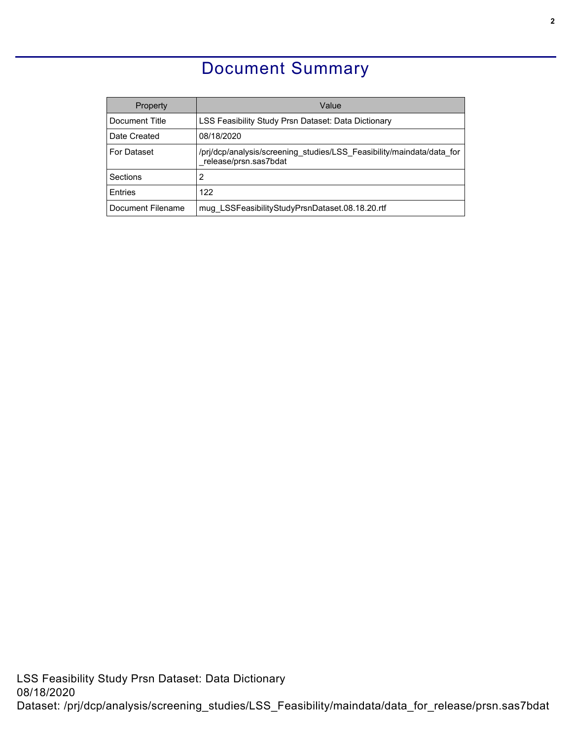### Document Summary

<span id="page-1-0"></span>

| Property           | Value                                                                                          |
|--------------------|------------------------------------------------------------------------------------------------|
| Document Title     | LSS Feasibility Study Prsn Dataset: Data Dictionary                                            |
| Date Created       | 08/18/2020                                                                                     |
| <b>For Dataset</b> | /prj/dcp/analysis/screening studies/LSS Feasibility/maindata/data for<br>release/prsn.sas7bdat |
| Sections           | 2                                                                                              |
| <b>F</b> ntries    | 122                                                                                            |
| Document Filename  | mug LSSFeasibilityStudyPrsnDataset.08.18.20.rtf                                                |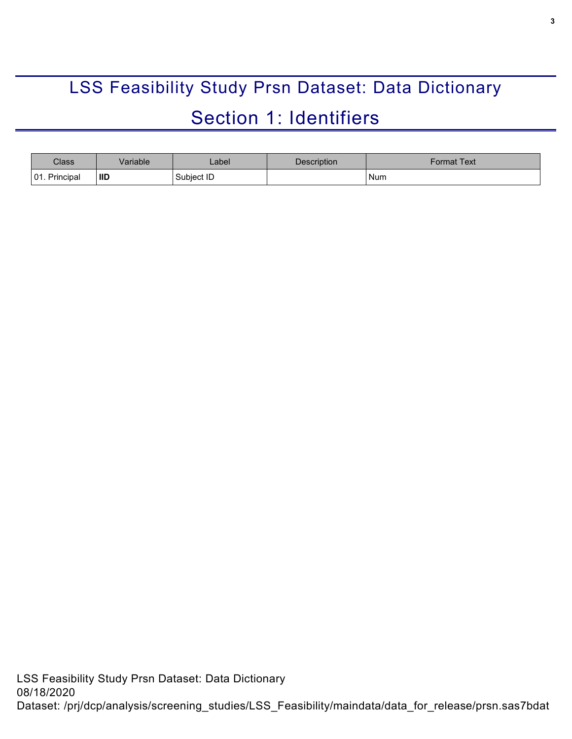# <span id="page-2-0"></span>LSS Feasibility Study Prsn Dataset: Data Dictionary Section 1: Identifiers

<span id="page-2-1"></span>

| Class            | /ariable | _abel_     | <b>Description</b> | Format Text |
|------------------|----------|------------|--------------------|-------------|
| 01.<br>Principal | ' IID    | Subject ID |                    | Num         |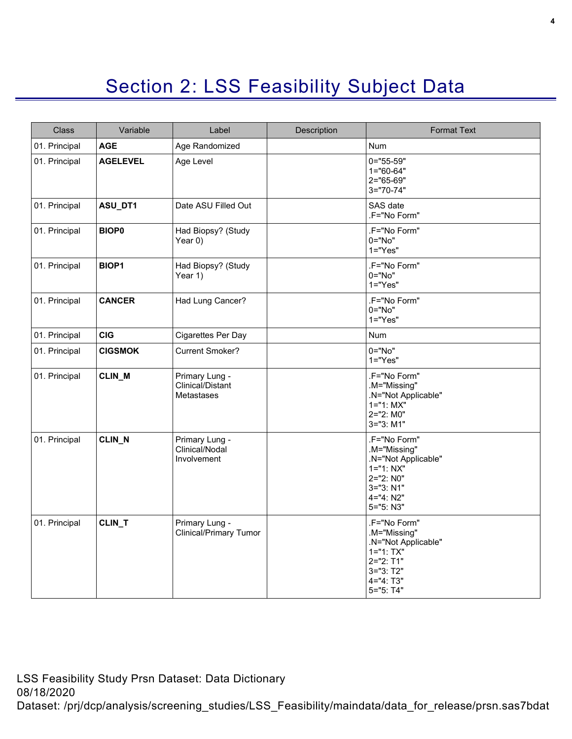## Section 2: LSS Feasibility Subject Data

<span id="page-3-0"></span>

| Class         | Variable        | Label                                                   | Description | <b>Format Text</b>                                                                                                           |
|---------------|-----------------|---------------------------------------------------------|-------------|------------------------------------------------------------------------------------------------------------------------------|
| 01. Principal | <b>AGE</b>      | Age Randomized                                          |             | Num                                                                                                                          |
| 01. Principal | <b>AGELEVEL</b> | Age Level                                               |             | $0 = 55 - 59"$<br>$1 = 60 - 64"$<br>2="65-69"<br>$3 = 70 - 74$ "                                                             |
| 01. Principal | ASU_DT1         | Date ASU Filled Out                                     |             | SAS date<br>.F="No Form"                                                                                                     |
| 01. Principal | <b>BIOP0</b>    | Had Biopsy? (Study<br>Year $0)$                         |             | .F="No Form"<br>$0 = "No"$<br>$1="Yes"$                                                                                      |
| 01. Principal | <b>BIOP1</b>    | Had Biopsy? (Study<br>Year 1)                           |             | .F="No Form"<br>0="No"<br>$1="Yes"$                                                                                          |
| 01. Principal | <b>CANCER</b>   | Had Lung Cancer?                                        |             | .F="No Form"<br>$0 = "No"$<br>$1 = "Yes"$                                                                                    |
| 01. Principal | <b>CIG</b>      | <b>Cigarettes Per Day</b>                               |             | Num                                                                                                                          |
| 01. Principal | <b>CIGSMOK</b>  | <b>Current Smoker?</b>                                  |             | 0="No"<br>$1="Yes"$                                                                                                          |
| 01. Principal | CLIN_M          | Primary Lung -<br>Clinical/Distant<br><b>Metastases</b> |             | .F="No Form"<br>.M="Missing"<br>.N="Not Applicable"<br>$1 = "1: MX"$<br>2="2: M0"<br>3="3: M1"                               |
| 01. Principal | CLIN_N          | Primary Lung -<br>Clinical/Nodal<br>Involvement         |             | .F="No Form"<br>.M="Missing"<br>.N="Not Applicable"<br>$1 = "1: NX"$<br>2="2: N0"<br>$3 = "3: N1"$<br>4="4: N2"<br>5="5: N3" |
| 01. Principal | CLIN_T          | Primary Lung -<br><b>Clinical/Primary Tumor</b>         |             | .F="No Form"<br>.M="Missing"<br>.N="Not Applicable"<br>$1 = "1: TX"$<br>2="2: T1"<br>$3 = 3: 72"$<br>4="4: T3"<br>5="5: T4"  |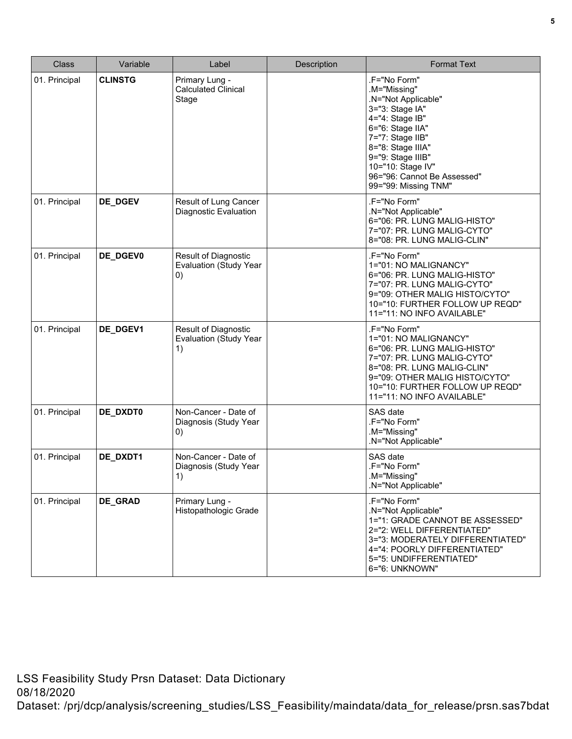| <b>Class</b>  | Variable       | Label                                                              | Description | <b>Format Text</b>                                                                                                                                                                                                                                      |
|---------------|----------------|--------------------------------------------------------------------|-------------|---------------------------------------------------------------------------------------------------------------------------------------------------------------------------------------------------------------------------------------------------------|
| 01. Principal | <b>CLINSTG</b> | Primary Lung -<br><b>Calculated Clinical</b><br>Stage              |             | .F="No Form"<br>.M="Missing"<br>.N="Not Applicable"<br>3="3: Stage IA"<br>4="4: Stage IB"<br>6="6: Stage IIA"<br>7="7: Stage IIB"<br>8="8: Stage IIIA"<br>9="9: Stage IIIB"<br>10="10: Stage IV"<br>96="96: Cannot Be Assessed"<br>99="99: Missing TNM" |
| 01. Principal | DE_DGEV        | Result of Lung Cancer<br><b>Diagnostic Evaluation</b>              |             | .F="No Form"<br>.N="Not Applicable"<br>6="06: PR. LUNG MALIG-HISTO"<br>7="07: PR. LUNG MALIG-CYTO"<br>8="08: PR. LUNG MALIG-CLIN"                                                                                                                       |
| 01. Principal | DE_DGEV0       | <b>Result of Diagnostic</b><br><b>Evaluation (Study Year</b><br>0) |             | .F="No Form"<br>1="01: NO MALIGNANCY"<br>6="06: PR. LUNG MALIG-HISTO"<br>7="07: PR. LUNG MALIG-CYTO"<br>9="09: OTHER MALIG HISTO/CYTO"<br>10="10: FURTHER FOLLOW UP REQD"<br>11="11: NO INFO AVAILABLE"                                                 |
| 01. Principal | DE_DGEV1       | Result of Diagnostic<br><b>Evaluation (Study Year</b><br>1)        |             | .F="No Form"<br>1="01: NO MALIGNANCY"<br>6="06: PR. LUNG MALIG-HISTO"<br>7="07: PR. LUNG MALIG-CYTO"<br>8="08: PR. LUNG MALIG-CLIN"<br>9="09: OTHER MALIG HISTO/CYTO"<br>10="10: FURTHER FOLLOW UP REQD"<br>11="11: NO INFO AVAILABLE"                  |
| 01. Principal | DE_DXDT0       | Non-Cancer - Date of<br>Diagnosis (Study Year<br>0)                |             | SAS date<br>.F="No Form"<br>.M="Missing"<br>.N="Not Applicable"                                                                                                                                                                                         |
| 01. Principal | DE_DXDT1       | Non-Cancer - Date of<br>Diagnosis (Study Year<br>1)                |             | SAS date<br>.F="No Form"<br>M="Missing".<br>.N="Not Applicable"                                                                                                                                                                                         |
| 01. Principal | DE_GRAD        | Primary Lung -<br>Histopathologic Grade                            |             | .F="No Form"<br>.N="Not Applicable"<br>1="1: GRADE CANNOT BE ASSESSED"<br>2="2: WELL DIFFERENTIATED"<br>3="3: MODERATELY DIFFERENTIATED"<br>4="4: POORLY DIFFERENTIATED"<br>5="5: UNDIFFERENTIATED"<br>6="6: UNKNOWN"                                   |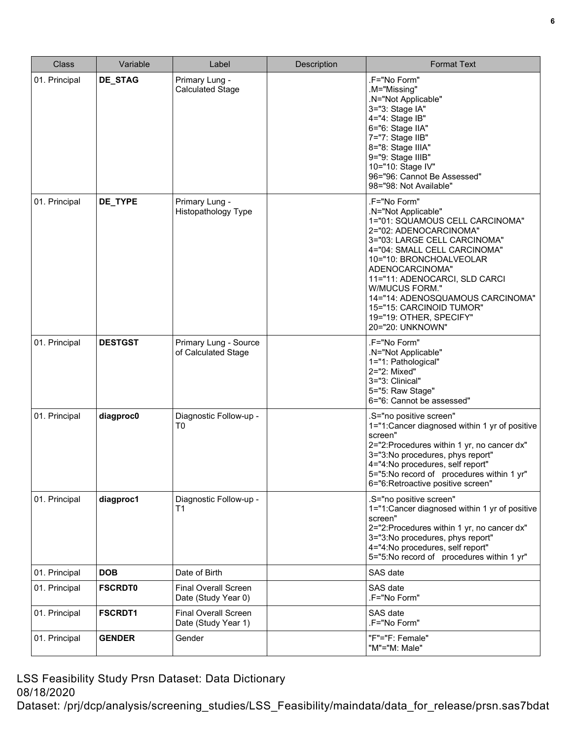| <b>Class</b>  | Variable       | Label                                              | Description | <b>Format Text</b>                                                                                                                                                                                                                                                                                                                                                               |
|---------------|----------------|----------------------------------------------------|-------------|----------------------------------------------------------------------------------------------------------------------------------------------------------------------------------------------------------------------------------------------------------------------------------------------------------------------------------------------------------------------------------|
| 01. Principal | DE_STAG        | Primary Lung -<br><b>Calculated Stage</b>          |             | .F="No Form"<br>.M="Missing"<br>.N="Not Applicable"<br>3="3: Stage IA"<br>4="4: Stage IB"<br>6="6: Stage IIA"<br>7="7: Stage IIB"<br>8="8: Stage IIIA"<br>9="9: Stage IIIB"<br>10="10: Stage IV"<br>96="96: Cannot Be Assessed"<br>98="98: Not Available"                                                                                                                        |
| 01. Principal | DE_TYPE        | Primary Lung -<br><b>Histopathology Type</b>       |             | .F="No Form"<br>.N="Not Applicable"<br>1="01: SQUAMOUS CELL CARCINOMA"<br>2="02: ADENOCARCINOMA"<br>3="03: LARGE CELL CARCINOMA"<br>4="04: SMALL CELL CARCINOMA"<br>10="10: BRONCHOALVEOLAR<br>ADENOCARCINOMA"<br>11="11: ADENOCARCI, SLD CARCI<br>W/MUCUS FORM."<br>14="14: ADENOSQUAMOUS CARCINOMA"<br>15="15: CARCINOID TUMOR"<br>19="19: OTHER, SPECIFY"<br>20="20: UNKNOWN" |
| 01. Principal | <b>DESTGST</b> | Primary Lung - Source<br>of Calculated Stage       |             | .F="No Form"<br>.N="Not Applicable"<br>1="1: Pathological"<br>2="2: Mixed"<br>3="3: Clinical"<br>5="5: Raw Stage"<br>6="6: Cannot be assessed"                                                                                                                                                                                                                                   |
| 01. Principal | diagproc0      | Diagnostic Follow-up -<br>T <sub>0</sub>           |             | .S="no positive screen"<br>1="1:Cancer diagnosed within 1 yr of positive<br>screen"<br>2="2:Procedures within 1 yr, no cancer dx"<br>3="3:No procedures, phys report"<br>4="4:No procedures, self report"<br>5="5:No record of procedures within 1 yr"<br>6="6:Retroactive positive screen"                                                                                      |
| 01. Principal | diagproc1      | Diagnostic Follow-up -<br>T1                       |             | .S="no positive screen"<br>1="1:Cancer diagnosed within 1 yr of positive<br>screen"<br>2="2:Procedures within 1 yr, no cancer dx"<br>3="3:No procedures, phys report"<br>4="4:No procedures, self report"<br>5="5:No record of procedures within 1 yr"                                                                                                                           |
| 01. Principal | <b>DOB</b>     | Date of Birth                                      |             | SAS date                                                                                                                                                                                                                                                                                                                                                                         |
| 01. Principal | <b>FSCRDT0</b> | <b>Final Overall Screen</b><br>Date (Study Year 0) |             | SAS date<br>.F="No Form"                                                                                                                                                                                                                                                                                                                                                         |
| 01. Principal | <b>FSCRDT1</b> | <b>Final Overall Screen</b><br>Date (Study Year 1) |             | SAS date<br>.F="No Form"                                                                                                                                                                                                                                                                                                                                                         |
| 01. Principal | <b>GENDER</b>  | Gender                                             |             | "F"="F: Female"<br>"M"="M: Male"                                                                                                                                                                                                                                                                                                                                                 |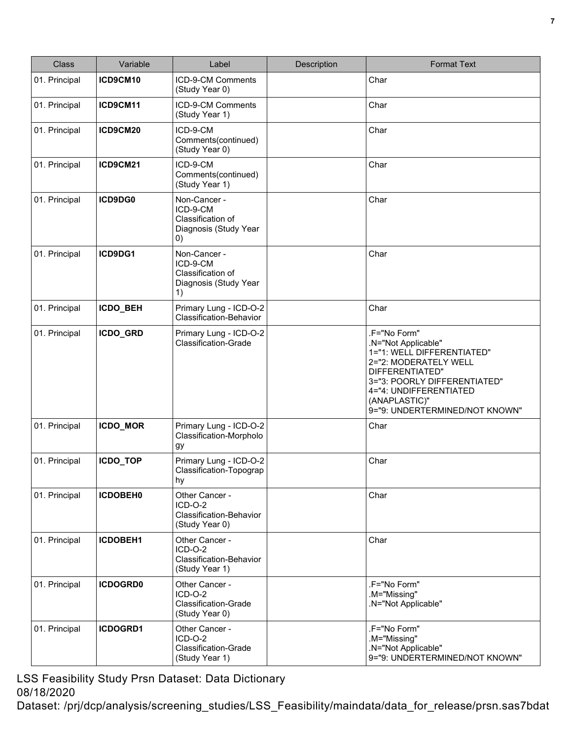| <b>Class</b>  | Variable        | Label                                                                           | Description | <b>Format Text</b>                                                                                                                                                                                                         |
|---------------|-----------------|---------------------------------------------------------------------------------|-------------|----------------------------------------------------------------------------------------------------------------------------------------------------------------------------------------------------------------------------|
| 01. Principal | ICD9CM10        | ICD-9-CM Comments<br>(Study Year 0)                                             |             | Char                                                                                                                                                                                                                       |
| 01. Principal | ICD9CM11        | ICD-9-CM Comments<br>(Study Year 1)                                             |             | Char                                                                                                                                                                                                                       |
| 01. Principal | ICD9CM20        | ICD-9-CM<br>Comments(continued)<br>(Study Year 0)                               |             | Char                                                                                                                                                                                                                       |
| 01. Principal | ICD9CM21        | ICD-9-CM<br>Comments(continued)<br>(Study Year 1)                               |             | Char                                                                                                                                                                                                                       |
| 01. Principal | ICD9DG0         | Non-Cancer -<br>ICD-9-CM<br>Classification of<br>Diagnosis (Study Year<br>(0)   |             | Char                                                                                                                                                                                                                       |
| 01. Principal | ICD9DG1         | Non-Cancer -<br>ICD-9-CM<br>Classification of<br>Diagnosis (Study Year<br>1)    |             | Char                                                                                                                                                                                                                       |
| 01. Principal | <b>ICDO BEH</b> | Primary Lung - ICD-O-2<br>Classification-Behavior                               |             | Char                                                                                                                                                                                                                       |
| 01. Principal | ICDO_GRD        | Primary Lung - ICD-O-2<br><b>Classification-Grade</b>                           |             | .F="No Form"<br>.N="Not Applicable"<br>1="1: WELL DIFFERENTIATED"<br>2="2: MODERATELY WELL<br>DIFFERENTIATED"<br>3="3: POORLY DIFFERENTIATED"<br>4="4: UNDIFFERENTIATED<br>(ANAPLASTIC)"<br>9="9: UNDERTERMINED/NOT KNOWN" |
| 01. Principal | ICDO_MOR        | Primary Lung - ICD-O-2<br>Classification-Morpholo<br>gу                         |             | Char                                                                                                                                                                                                                       |
| 01. Principal | ICDO_TOP        | Primary Lung - ICD-O-2<br>Classification-Topograp<br>hy                         |             | Char                                                                                                                                                                                                                       |
| 01. Principal | <b>ICDOBEH0</b> | Other Cancer -<br>ICD-O-2<br><b>Classification-Behavior</b><br>(Study Year 0)   |             | Char                                                                                                                                                                                                                       |
| 01. Principal | ICDOBEH1        | Other Cancer -<br>$ICD-O-2$<br><b>Classification-Behavior</b><br>(Study Year 1) |             | Char                                                                                                                                                                                                                       |
| 01. Principal | <b>ICDOGRD0</b> | Other Cancer -<br>$ICD-O-2$<br><b>Classification-Grade</b><br>(Study Year 0)    |             | .F="No Form"<br>.M="Missing"<br>.N="Not Applicable"                                                                                                                                                                        |
| 01. Principal | ICDOGRD1        | Other Cancer -<br>$ICD-O-2$<br><b>Classification-Grade</b><br>(Study Year 1)    |             | .F="No Form"<br>.M="Missing"<br>.N="Not Applicable"<br>9="9: UNDERTERMINED/NOT KNOWN"                                                                                                                                      |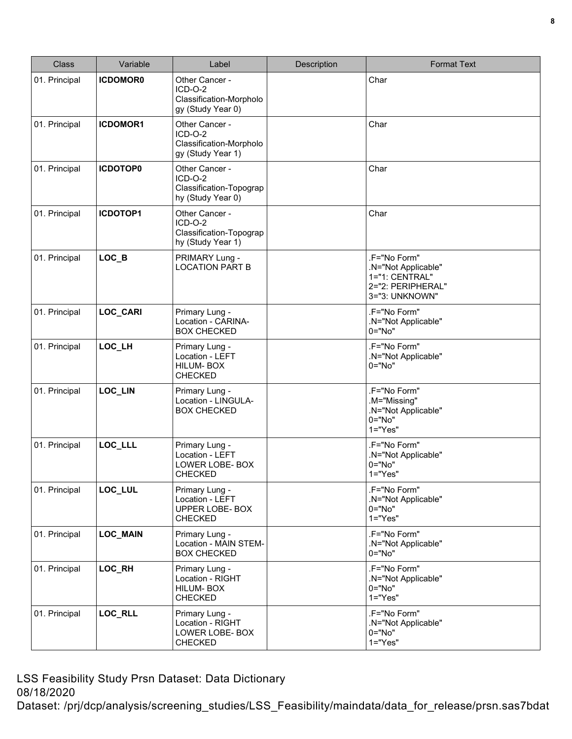| <b>Class</b>  | Variable        | Label                                                                       | Description | <b>Format Text</b>                                                                           |
|---------------|-----------------|-----------------------------------------------------------------------------|-------------|----------------------------------------------------------------------------------------------|
| 01. Principal | <b>ICDOMOR0</b> | Other Cancer -<br>$ICD-O-2$<br>Classification-Morpholo<br>gy (Study Year 0) |             | Char                                                                                         |
| 01. Principal | <b>ICDOMOR1</b> | Other Cancer -<br>$ICD-O-2$<br>Classification-Morpholo<br>gy (Study Year 1) |             | Char                                                                                         |
| 01. Principal | <b>ICDOTOP0</b> | Other Cancer -<br>$ICD-O-2$<br>Classification-Topograp<br>hy (Study Year 0) |             | Char                                                                                         |
| 01. Principal | ICDOTOP1        | Other Cancer -<br>ICD-O-2<br>Classification-Topograp<br>hy (Study Year 1)   |             | Char                                                                                         |
| 01. Principal | $LOC_B$         | PRIMARY Lung -<br><b>LOCATION PART B</b>                                    |             | .F="No Form"<br>.N="Not Applicable"<br>1="1: CENTRAL"<br>2="2: PERIPHERAL"<br>3="3: UNKNOWN" |
| 01. Principal | <b>LOC CARI</b> | Primary Lung -<br>Location - CARINA-<br><b>BOX CHECKED</b>                  |             | .F="No Form"<br>.N="Not Applicable"<br>$0 = "No"$                                            |
| 01. Principal | LOC_LH          | Primary Lung -<br>Location - LEFT<br>HILUM-BOX<br><b>CHECKED</b>            |             | .F="No Form"<br>.N="Not Applicable"<br>0="No"                                                |
| 01. Principal | LOC_LIN         | Primary Lung -<br>Location - LINGULA-<br><b>BOX CHECKED</b>                 |             | .F="No Form"<br>.M="Missing"<br>.N="Not Applicable"<br>0="No"<br>$1="Yes"$                   |
| 01. Principal | LOC_LLL         | Primary Lung -<br>Location - LEFT<br>LOWER LOBE- BOX<br><b>CHECKED</b>      |             | .F="No Form"<br>.N="Not Applicable"<br>$0 = "No"$<br>$1="Yes"$                               |
| 01. Principal | LOC_LUL         | Primary Lung -<br>Location - LEFT<br>UPPER LOBE- BOX<br><b>CHECKED</b>      |             | .F="No Form"<br>.N="Not Applicable"<br>$0 = "No"$<br>$1="Yes"$                               |
| 01. Principal | <b>LOC_MAIN</b> | Primary Lung -<br>Location - MAIN STEM-<br><b>BOX CHECKED</b>               |             | .F="No Form"<br>.N="Not Applicable"<br>$0 = "No"$                                            |
| 01. Principal | LOC_RH          | Primary Lung -<br>Location - RIGHT<br>HILUM-BOX<br><b>CHECKED</b>           |             | .F="No Form"<br>.N="Not Applicable"<br>$0 = "No"$<br>$1="Yes"$                               |
| 01. Principal | LOC_RLL         | Primary Lung -<br>Location - RIGHT<br>LOWER LOBE- BOX<br><b>CHECKED</b>     |             | .F="No Form"<br>.N="Not Applicable"<br>$0 = "No"$<br>$1="Yes"$                               |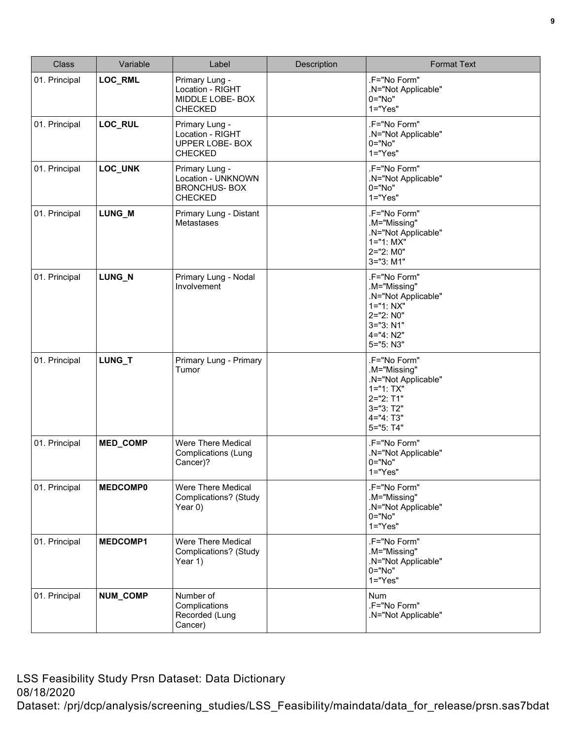| <b>Class</b>  | Variable        | Label                                                                         | Description | <b>Format Text</b>                                                                                                               |
|---------------|-----------------|-------------------------------------------------------------------------------|-------------|----------------------------------------------------------------------------------------------------------------------------------|
| 01. Principal | LOC_RML         | Primary Lung -<br>Location - RIGHT<br>MIDDLE LOBE- BOX<br><b>CHECKED</b>      |             | .F="No Form"<br>.N="Not Applicable"<br>0="No"<br>$1="Yes"$                                                                       |
| 01. Principal | LOC_RUL         | Primary Lung -<br>Location - RIGHT<br>UPPER LOBE- BOX<br><b>CHECKED</b>       |             | .F="No Form"<br>.N="Not Applicable"<br>0="No"<br>$1="Yes"$                                                                       |
| 01. Principal | LOC_UNK         | Primary Lung -<br>Location - UNKNOWN<br><b>BRONCHUS-BOX</b><br><b>CHECKED</b> |             | .F="No Form"<br>.N="Not Applicable"<br>0="No"<br>$1="Yes"$                                                                       |
| 01. Principal | LUNG_M          | Primary Lung - Distant<br>Metastases                                          |             | .F="No Form"<br>.M="Missing"<br>.N="Not Applicable"<br>$1 = "1: MX"$<br>2="2: M0"<br>3="3: M1"                                   |
| 01. Principal | LUNG N          | Primary Lung - Nodal<br>Involvement                                           |             | .F="No Form"<br>.M="Missing"<br>.N="Not Applicable"<br>$1 = "1: NX"$<br>2="2: N0"<br>3="3: N1"<br>4="4: N2"<br>5="5: N3"         |
| 01. Principal | LUNG_T          | Primary Lung - Primary<br>Tumor                                               |             | .F="No Form"<br>.M="Missing"<br>.N="Not Applicable"<br>$1 = "1: TX"$<br>$2 = "2: T1"$<br>$3 = "3: T2"$<br>4="4: T3"<br>5="5: T4" |
| 01. Principal | MED_COMP        | Were There Medical<br><b>Complications (Lung</b><br>Cancer)?                  |             | .F="No Form"<br>.N="Not Applicable"<br>0="No"<br>$1="Yes"$                                                                       |
| 01. Principal | <b>MEDCOMP0</b> | Were There Medical<br>Complications? (Study<br>Year 0)                        |             | .F="No Form"<br>.M="Missing"<br>.N="Not Applicable"<br>$0 = "No"$<br>$1 = "Yes"$                                                 |
| 01. Principal | MEDCOMP1        | Were There Medical<br>Complications? (Study<br>Year 1)                        |             | .F="No Form"<br>.M="Missing"<br>.N="Not Applicable"<br>0="No"<br>$1="Yes"$                                                       |
| 01. Principal | NUM_COMP        | Number of<br>Complications<br>Recorded (Lung<br>Cancer)                       |             | Num<br>.F="No Form"<br>.N="Not Applicable"                                                                                       |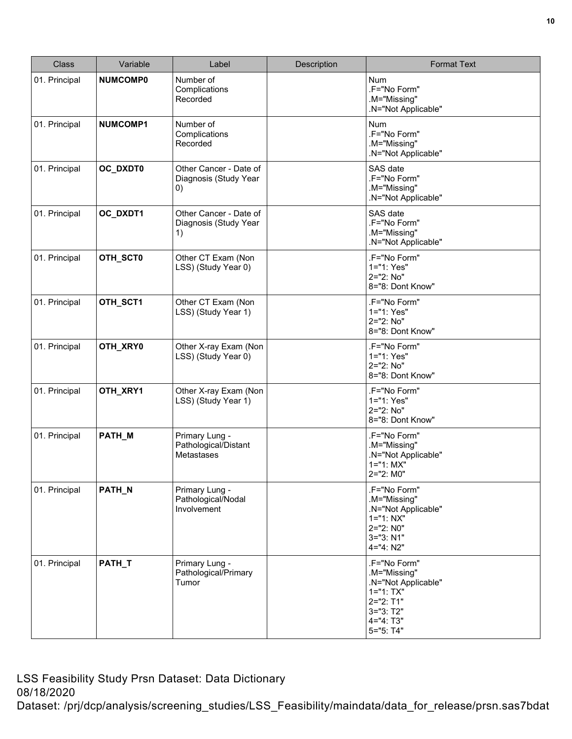| <b>Class</b>  | Variable        | Label                                                 | Description | <b>Format Text</b>                                                                                                          |
|---------------|-----------------|-------------------------------------------------------|-------------|-----------------------------------------------------------------------------------------------------------------------------|
| 01. Principal | <b>NUMCOMP0</b> | Number of<br>Complications<br>Recorded                |             | <b>Num</b><br>.F="No Form"<br>.M="Missing"<br>.N="Not Applicable"                                                           |
| 01. Principal | <b>NUMCOMP1</b> | Number of<br>Complications<br>Recorded                |             | <b>Num</b><br>.F="No Form"<br>.M="Missing"<br>.N="Not Applicable"                                                           |
| 01. Principal | OC_DXDT0        | Other Cancer - Date of<br>Diagnosis (Study Year<br>0) |             | SAS date<br>.F="No Form"<br>.M="Missing"<br>.N="Not Applicable"                                                             |
| 01. Principal | OC_DXDT1        | Other Cancer - Date of<br>Diagnosis (Study Year<br>1) |             | SAS date<br>.F="No Form"<br>.M="Missing"<br>.N="Not Applicable"                                                             |
| 01. Principal | OTH_SCT0        | Other CT Exam (Non<br>LSS) (Study Year 0)             |             | .F="No Form"<br>1="1: Yes"<br>2="2: No"<br>8="8: Dont Know"                                                                 |
| 01. Principal | OTH_SCT1        | Other CT Exam (Non<br>LSS) (Study Year 1)             |             | .F="No Form"<br>1="1: Yes"<br>2="2: No"<br>8="8: Dont Know"                                                                 |
| 01. Principal | OTH_XRY0        | Other X-ray Exam (Non<br>LSS) (Study Year 0)          |             | .F="No Form"<br>1="1: Yes"<br>2="2: No"<br>8="8: Dont Know"                                                                 |
| 01. Principal | OTH_XRY1        | Other X-ray Exam (Non<br>LSS) (Study Year 1)          |             | .F="No Form"<br>1="1: Yes"<br>2="2: No"<br>8="8: Dont Know"                                                                 |
| 01. Principal | PATH_M          | Primary Lung -<br>Pathological/Distant<br>Metastases  |             | .F="No Form"<br>.M="Missing"<br>.N="Not Applicable"<br>$1 = "1: MX"$<br>2="2: M0"                                           |
| 01. Principal | PATH_N          | Primary Lung -<br>Pathological/Nodal<br>Involvement   |             | .F="No Form"<br>.M="Missing"<br>.N="Not Applicable"<br>$1 = "1: NX"$<br>2="2: N0"<br>$3 = 3: N1"$<br>4="4: N2"              |
| 01. Principal | PATH_T          | Primary Lung -<br>Pathological/Primary<br>Tumor       |             | .F="No Form"<br>.M="Missing"<br>.N="Not Applicable"<br>$1 = "1: TX"$<br>2="2: T1"<br>$3 = 3: 72"$<br>4="4: T3"<br>5="5: T4" |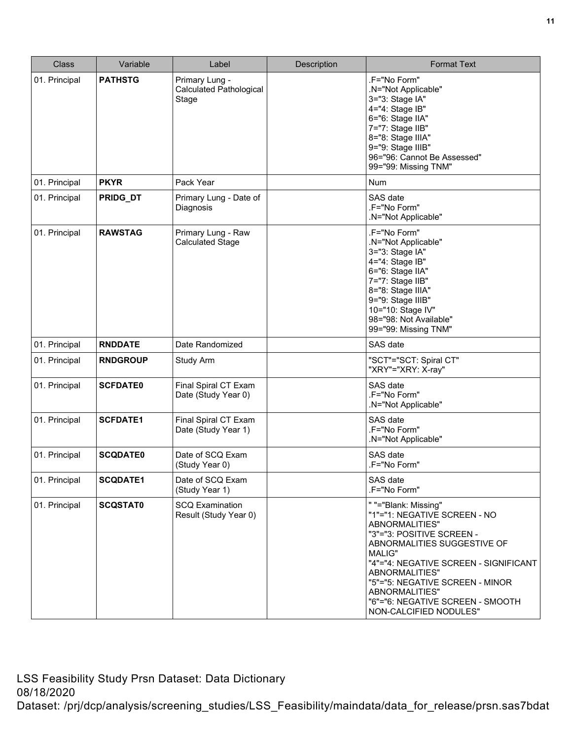| <b>Class</b>  | Variable        | Label                                                     | Description | <b>Format Text</b>                                                                                                                                                                                                                                                                                                         |
|---------------|-----------------|-----------------------------------------------------------|-------------|----------------------------------------------------------------------------------------------------------------------------------------------------------------------------------------------------------------------------------------------------------------------------------------------------------------------------|
| 01. Principal | <b>PATHSTG</b>  | Primary Lung -<br><b>Calculated Pathological</b><br>Stage |             | .F="No Form"<br>.N="Not Applicable"<br>3="3: Stage IA"<br>4="4: Stage IB"<br>6="6: Stage IIA"<br>7="7: Stage IIB"<br>8="8: Stage IIIA"<br>9="9: Stage IIIB"<br>96="96: Cannot Be Assessed"<br>99="99: Missing TNM"                                                                                                         |
| 01. Principal | <b>PKYR</b>     | Pack Year                                                 |             | <b>Num</b>                                                                                                                                                                                                                                                                                                                 |
| 01. Principal | PRIDG_DT        | Primary Lung - Date of<br>Diagnosis                       |             | SAS date<br>.F="No Form"<br>N="Not Applicable"                                                                                                                                                                                                                                                                             |
| 01. Principal | <b>RAWSTAG</b>  | Primary Lung - Raw<br><b>Calculated Stage</b>             |             | .F="No Form"<br>.N="Not Applicable"<br>3="3: Stage IA"<br>4="4: Stage IB"<br>6="6: Stage IIA"<br>7="7: Stage IIB"<br>8="8: Stage IIIA"<br>9="9: Stage IIIB"<br>10="10: Stage IV"<br>98="98: Not Available"<br>99="99: Missing TNM"                                                                                         |
| 01. Principal | <b>RNDDATE</b>  | Date Randomized                                           |             | SAS date                                                                                                                                                                                                                                                                                                                   |
| 01. Principal | <b>RNDGROUP</b> | Study Arm                                                 |             | "SCT"="SCT: Spiral CT"<br>"XRY"="XRY: X-ray"                                                                                                                                                                                                                                                                               |
| 01. Principal | <b>SCFDATE0</b> | Final Spiral CT Exam<br>Date (Study Year 0)               |             | SAS date<br>.F="No Form"<br>.N="Not Applicable"                                                                                                                                                                                                                                                                            |
| 01. Principal | <b>SCFDATE1</b> | Final Spiral CT Exam<br>Date (Study Year 1)               |             | SAS date<br>.F="No Form"<br>.N="Not Applicable"                                                                                                                                                                                                                                                                            |
| 01. Principal | <b>SCQDATE0</b> | Date of SCQ Exam<br>(Study Year 0)                        |             | SAS date<br>.F="No Form"                                                                                                                                                                                                                                                                                                   |
| 01. Principal | <b>SCQDATE1</b> | Date of SCQ Exam<br>(Study Year 1)                        |             | SAS date<br>.F="No Form"                                                                                                                                                                                                                                                                                                   |
| 01. Principal | <b>SCQSTAT0</b> | <b>SCQ Examination</b><br>Result (Study Year 0)           |             | " "="Blank: Missing"<br>"1"="1: NEGATIVE SCREEN - NO<br>ABNORMALITIES"<br>"3"="3: POSITIVE SCREEN -<br>ABNORMALITIES SUGGESTIVE OF<br>MALIG"<br>"4"="4: NEGATIVE SCREEN - SIGNIFICANT<br>ABNORMALITIES"<br>"5"="5: NEGATIVE SCREEN - MINOR<br>ABNORMALITIES"<br>"6"="6: NEGATIVE SCREEN - SMOOTH<br>NON-CALCIFIED NODULES" |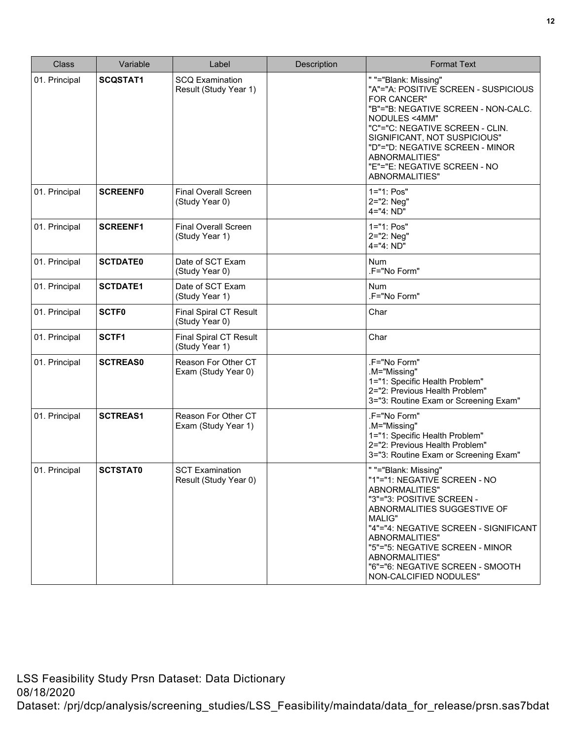| <b>Class</b>  | Variable        | Label                                           | Description | <b>Format Text</b>                                                                                                                                                                                                                                                                                                         |
|---------------|-----------------|-------------------------------------------------|-------------|----------------------------------------------------------------------------------------------------------------------------------------------------------------------------------------------------------------------------------------------------------------------------------------------------------------------------|
| 01. Principal | <b>SCQSTAT1</b> | <b>SCQ Examination</b><br>Result (Study Year 1) |             | " "="Blank: Missing"<br>"A"="A: POSITIVE SCREEN - SUSPICIOUS<br>FOR CANCER"<br>"B"="B: NEGATIVE SCREEN - NON-CALC.<br>NODULES <4MM"<br>"C"="C: NEGATIVE SCREEN - CLIN.<br>SIGNIFICANT, NOT SUSPICIOUS"<br>"D"="D: NEGATIVE SCREEN - MINOR<br>ABNORMALITIES"<br>"E"="E: NEGATIVE SCREEN - NO<br>ABNORMALITIES"              |
| 01. Principal | <b>SCREENF0</b> | <b>Final Overall Screen</b><br>(Study Year 0)   |             | 1="1: Pos"<br>2="2: Neg"<br>4="4: ND"                                                                                                                                                                                                                                                                                      |
| 01. Principal | <b>SCREENF1</b> | <b>Final Overall Screen</b><br>(Study Year 1)   |             | 1="1: Pos"<br>2="2: Neg"<br>4="4: ND"                                                                                                                                                                                                                                                                                      |
| 01. Principal | <b>SCTDATE0</b> | Date of SCT Exam<br>(Study Year 0)              |             | <b>Num</b><br>.F="No Form"                                                                                                                                                                                                                                                                                                 |
| 01. Principal | <b>SCTDATE1</b> | Date of SCT Exam<br>(Study Year 1)              |             | <b>Num</b><br>.F="No Form"                                                                                                                                                                                                                                                                                                 |
| 01. Principal | <b>SCTF0</b>    | <b>Final Spiral CT Result</b><br>(Study Year 0) |             | Char                                                                                                                                                                                                                                                                                                                       |
| 01. Principal | SCTF1           | <b>Final Spiral CT Result</b><br>(Study Year 1) |             | Char                                                                                                                                                                                                                                                                                                                       |
| 01. Principal | <b>SCTREAS0</b> | Reason For Other CT<br>Exam (Study Year 0)      |             | .F="No Form"<br>.M="Missing"<br>1="1: Specific Health Problem"<br>2="2: Previous Health Problem"<br>3="3: Routine Exam or Screening Exam"                                                                                                                                                                                  |
| 01. Principal | <b>SCTREAS1</b> | Reason For Other CT<br>Exam (Study Year 1)      |             | .F="No Form"<br>.M="Missing"<br>1="1: Specific Health Problem"<br>2="2: Previous Health Problem"<br>3="3: Routine Exam or Screening Exam"                                                                                                                                                                                  |
| 01. Principal | <b>SCTSTAT0</b> | <b>SCT Examination</b><br>Result (Study Year 0) |             | " "="Blank: Missing"<br>"1"="1: NEGATIVE SCREEN - NO<br>ABNORMALITIES"<br>"3"="3: POSITIVE SCREEN -<br>ABNORMALITIES SUGGESTIVE OF<br>MALIG"<br>"4"="4: NEGATIVE SCREEN - SIGNIFICANT<br>ABNORMALITIES"<br>"5"="5: NEGATIVE SCREEN - MINOR<br>ABNORMALITIES"<br>"6"="6: NEGATIVE SCREEN - SMOOTH<br>NON-CALCIFIED NODULES" |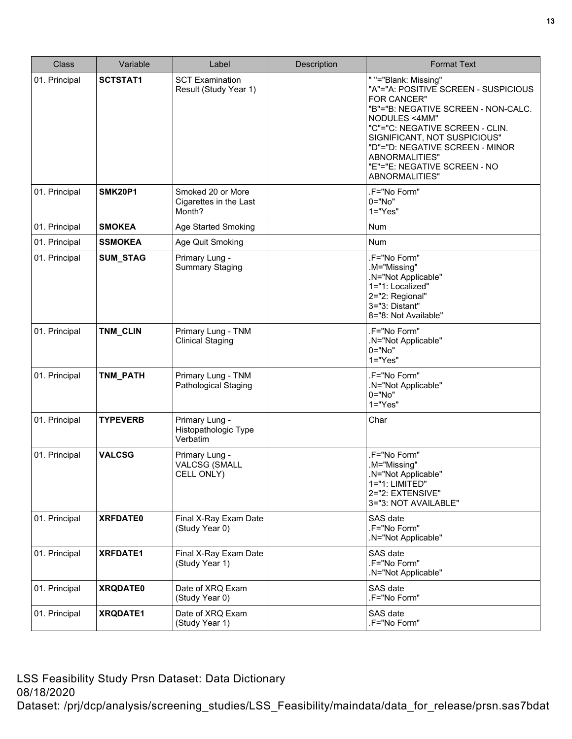| <b>Class</b>  | Variable        | Label                                                 | Description | <b>Format Text</b>                                                                                                                                                                                                                                                                                            |
|---------------|-----------------|-------------------------------------------------------|-------------|---------------------------------------------------------------------------------------------------------------------------------------------------------------------------------------------------------------------------------------------------------------------------------------------------------------|
| 01. Principal | <b>SCTSTAT1</b> | <b>SCT Examination</b><br>Result (Study Year 1)       |             | " "="Blank: Missing"<br>"A"="A: POSITIVE SCREEN - SUSPICIOUS<br>FOR CANCER"<br>"B"="B: NEGATIVE SCREEN - NON-CALC.<br>NODULES <4MM"<br>"C"="C: NEGATIVE SCREEN - CLIN.<br>SIGNIFICANT, NOT SUSPICIOUS"<br>"D"="D: NEGATIVE SCREEN - MINOR<br>ABNORMALITIES"<br>"E"="E: NEGATIVE SCREEN - NO<br>ABNORMALITIES" |
| 01. Principal | <b>SMK20P1</b>  | Smoked 20 or More<br>Cigarettes in the Last<br>Month? |             | .F="No Form"<br>0="No"<br>$1="Yes"$                                                                                                                                                                                                                                                                           |
| 01. Principal | <b>SMOKEA</b>   | Age Started Smoking                                   |             | Num                                                                                                                                                                                                                                                                                                           |
| 01. Principal | <b>SSMOKEA</b>  | Age Quit Smoking                                      |             | <b>Num</b>                                                                                                                                                                                                                                                                                                    |
| 01. Principal | SUM_STAG        | Primary Lung -<br><b>Summary Staging</b>              |             | .F="No Form"<br>.M="Missing"<br>.N="Not Applicable"<br>1="1: Localized"<br>2="2: Regional"<br>3="3: Distant"<br>8="8: Not Available"                                                                                                                                                                          |
| 01. Principal | TNM_CLIN        | Primary Lung - TNM<br><b>Clinical Staging</b>         |             | .F="No Form"<br>.N="Not Applicable"<br>$0 = "No"$<br>$1 = "Yes"$                                                                                                                                                                                                                                              |
| 01. Principal | TNM_PATH        | Primary Lung - TNM<br>Pathological Staging            |             | .F="No Form"<br>.N="Not Applicable"<br>$0="No"$<br>$1="Yes"$                                                                                                                                                                                                                                                  |
| 01. Principal | <b>TYPEVERB</b> | Primary Lung -<br>Histopathologic Type<br>Verbatim    |             | Char                                                                                                                                                                                                                                                                                                          |
| 01. Principal | <b>VALCSG</b>   | Primary Lung -<br><b>VALCSG (SMALL</b><br>CELL ONLY)  |             | .F="No Form"<br>.M="Missing"<br>.N="Not Applicable"<br>1="1: LIMITED"<br>2="2: EXTENSIVE"<br>3="3: NOT AVAILABLE"                                                                                                                                                                                             |
| 01. Principal | <b>XRFDATE0</b> | Final X-Ray Exam Date<br>(Study Year 0)               |             | SAS date<br>.F="No Form"<br>.N="Not Applicable"                                                                                                                                                                                                                                                               |
| 01. Principal | <b>XRFDATE1</b> | Final X-Ray Exam Date<br>(Study Year 1)               |             | SAS date<br>.F="No Form"<br>.N="Not Applicable"                                                                                                                                                                                                                                                               |
| 01. Principal | <b>XRQDATE0</b> | Date of XRQ Exam<br>(Study Year 0)                    |             | SAS date<br>.F="No Form"                                                                                                                                                                                                                                                                                      |
| 01. Principal | XRQDATE1        | Date of XRQ Exam<br>(Study Year 1)                    |             | SAS date<br>.F="No Form"                                                                                                                                                                                                                                                                                      |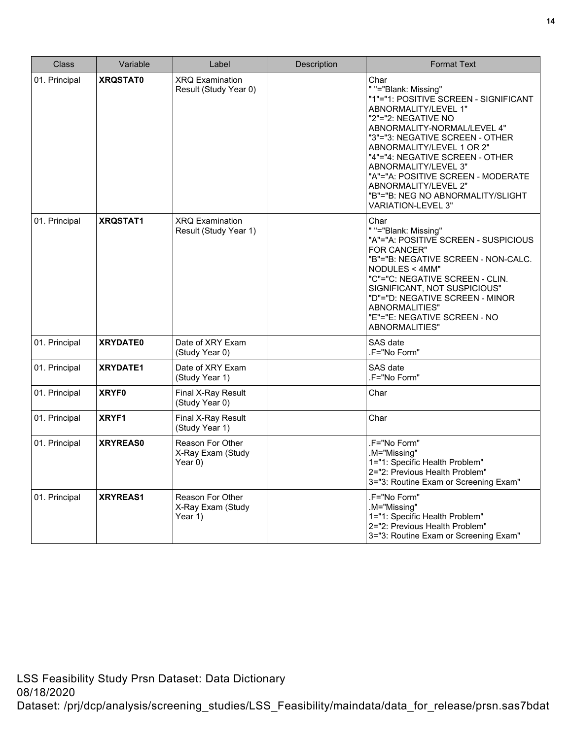| Class         | Variable        | Label                                                   | Description | <b>Format Text</b>                                                                                                                                                                                                                                                                                                                                                                                             |
|---------------|-----------------|---------------------------------------------------------|-------------|----------------------------------------------------------------------------------------------------------------------------------------------------------------------------------------------------------------------------------------------------------------------------------------------------------------------------------------------------------------------------------------------------------------|
| 01. Principal | <b>XRQSTAT0</b> | <b>XRQ Examination</b><br>Result (Study Year 0)         |             | Char<br>" "="Blank: Missing"<br>"1"="1: POSITIVE SCREEN - SIGNIFICANT<br>ABNORMALITY/LEVEL 1"<br>"2"="2: NEGATIVE NO<br>ABNORMALITY-NORMAL/LEVEL 4"<br>"3"="3: NEGATIVE SCREEN - OTHER<br>ABNORMALITY/LEVEL 1 OR 2"<br>"4"="4: NEGATIVE SCREEN - OTHER<br>ABNORMALITY/LEVEL 3"<br>"A"="A: POSITIVE SCREEN - MODERATE<br>ABNORMALITY/LEVEL 2"<br>"B"="B: NEG NO ABNORMALITY/SLIGHT<br><b>VARIATION-LEVEL 3"</b> |
| 01. Principal | <b>XRQSTAT1</b> | <b>XRQ Examination</b><br>Result (Study Year 1)         |             | Char<br>" "="Blank: Missing"<br>"A"="A: POSITIVE SCREEN - SUSPICIOUS<br><b>FOR CANCER"</b><br>"B"="B: NEGATIVE SCREEN - NON-CALC.<br>NODULES < 4MM"<br>"C"="C: NEGATIVE SCREEN - CLIN.<br>SIGNIFICANT, NOT SUSPICIOUS"<br>"D"="D: NEGATIVE SCREEN - MINOR<br>ABNORMALITIES"<br>"E"="E: NEGATIVE SCREEN - NO<br>ABNORMALITIES"                                                                                  |
| 01. Principal | <b>XRYDATE0</b> | Date of XRY Exam<br>(Study Year 0)                      |             | SAS date<br>.F="No Form"                                                                                                                                                                                                                                                                                                                                                                                       |
| 01. Principal | <b>XRYDATE1</b> | Date of XRY Exam<br>(Study Year 1)                      |             | SAS date<br>.F="No Form"                                                                                                                                                                                                                                                                                                                                                                                       |
| 01. Principal | <b>XRYF0</b>    | Final X-Ray Result<br>(Study Year 0)                    |             | Char                                                                                                                                                                                                                                                                                                                                                                                                           |
| 01. Principal | XRYF1           | Final X-Ray Result<br>(Study Year 1)                    |             | Char                                                                                                                                                                                                                                                                                                                                                                                                           |
| 01. Principal | <b>XRYREAS0</b> | <b>Reason For Other</b><br>X-Ray Exam (Study<br>Year 0) |             | .F="No Form"<br>.M="Missing"<br>1="1: Specific Health Problem"<br>2="2: Previous Health Problem"<br>3="3: Routine Exam or Screening Exam"                                                                                                                                                                                                                                                                      |
| 01. Principal | <b>XRYREAS1</b> | Reason For Other<br>X-Ray Exam (Study<br>Year 1)        |             | .F="No Form"<br>.M="Missing"<br>1="1: Specific Health Problem"<br>2="2: Previous Health Problem"<br>3="3: Routine Exam or Screening Exam"                                                                                                                                                                                                                                                                      |